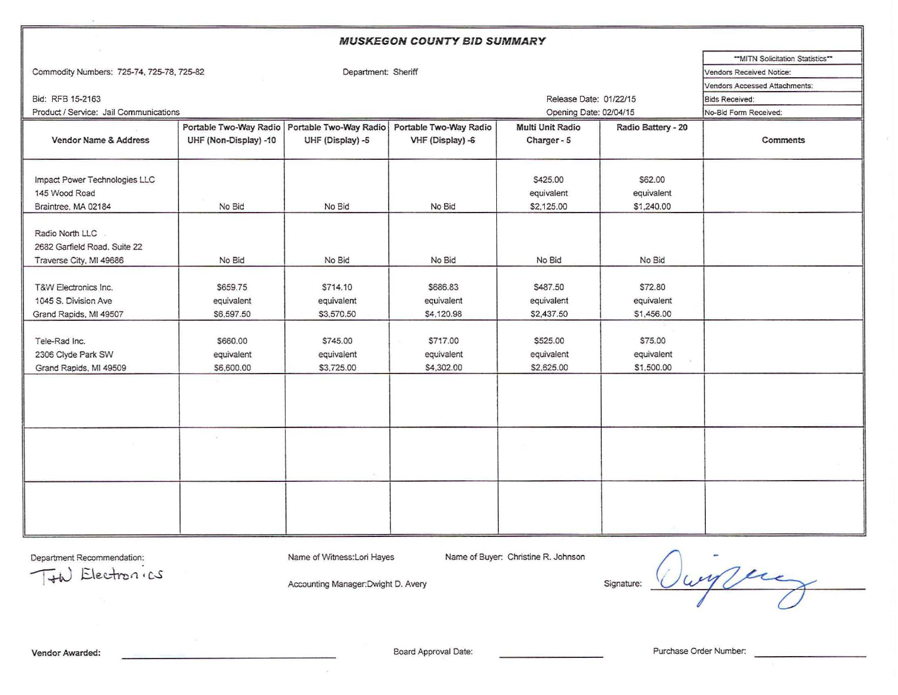| <b>MUSKEGON COUNTY BID SUMMARY</b>                                         |                                                 |                                      |                                      |                                      |                                           |          |  |  |  |  |  |
|----------------------------------------------------------------------------|-------------------------------------------------|--------------------------------------|--------------------------------------|--------------------------------------|-------------------------------------------|----------|--|--|--|--|--|
|                                                                            | "MITN Solicitation Statistics"                  |                                      |                                      |                                      |                                           |          |  |  |  |  |  |
| Commodity Numbers: 725-74, 725-78, 725-82                                  |                                                 | Vendors Received Notice:             |                                      |                                      |                                           |          |  |  |  |  |  |
|                                                                            | <b>Vendors Accessed Attachments:</b>            |                                      |                                      |                                      |                                           |          |  |  |  |  |  |
| Bid: RFB 15-2163                                                           | <b>Bids Received:</b>                           |                                      |                                      |                                      |                                           |          |  |  |  |  |  |
| Product / Service: Jail Communications                                     |                                                 |                                      | Opening Date: 02/04/15               |                                      | No-Bid Form Received:                     |          |  |  |  |  |  |
|                                                                            | Portable Two-Way Radio   Portable Two-Way Radio |                                      | Portable Two-Way Radio               | Multi Unit Radio                     | Radio Battery - 20                        |          |  |  |  |  |  |
| Vendor Name & Address                                                      | UHF (Non-Display) -10                           | UHF (Display) -5                     | VHF (Display) -6                     | Charger - 5                          |                                           | Comments |  |  |  |  |  |
| Impact Power Technologies LLC                                              |                                                 |                                      |                                      | S425.00                              | \$62.00                                   |          |  |  |  |  |  |
| 145 Wood Road                                                              |                                                 |                                      |                                      | equivalent                           | equivalent                                |          |  |  |  |  |  |
| Braintree, MA 02184                                                        | No Bid                                          | No Bid                               | No Bid                               | \$2,125.00                           | \$1,240.00                                |          |  |  |  |  |  |
| Radio North LLC<br>2682 Garfield Road. Suite 22<br>Traverse City, MI 49686 | No Bid                                          | No Bid                               | No Bid                               | No Bid                               | No Bid                                    |          |  |  |  |  |  |
| T&W Electronics Inc.<br>1045 S. Division Ave<br>Grand Rapids, MI 49507     | \$659.75<br>equivalent<br>\$6,597.50            | \$714.10<br>equivalent<br>\$3,570.50 | \$686.83<br>equivalent<br>\$4,120.98 | \$487.50<br>equivalent<br>\$2,437.50 | \$72.80<br>equivalent<br>\$1,456.00       |          |  |  |  |  |  |
| Tele-Rad Inc.<br>2306 Clyde Park SW<br>Grand Rapids, MI 49509              | \$660.00<br>equivalent<br>\$6,600.00            | \$745.00<br>equivalent<br>\$3,725.00 | \$717.00<br>equivalent<br>\$4,302.00 | \$525.00<br>equivalent<br>\$2,625.00 | <b>S75.00</b><br>equivalent<br>\$1,500.00 |          |  |  |  |  |  |
|                                                                            |                                                 |                                      |                                      |                                      |                                           |          |  |  |  |  |  |
|                                                                            |                                                 |                                      |                                      |                                      |                                           |          |  |  |  |  |  |
|                                                                            |                                                 |                                      |                                      |                                      |                                           |          |  |  |  |  |  |

Department Recommendation:

Name of Witness: Lori Hayes

 $\sim$ 

Name of Buyer. Christine R. Johnson

 $T+h$  Electron *ics* 

Accounting Manager.Dwight D. Avery

Signature: Oury year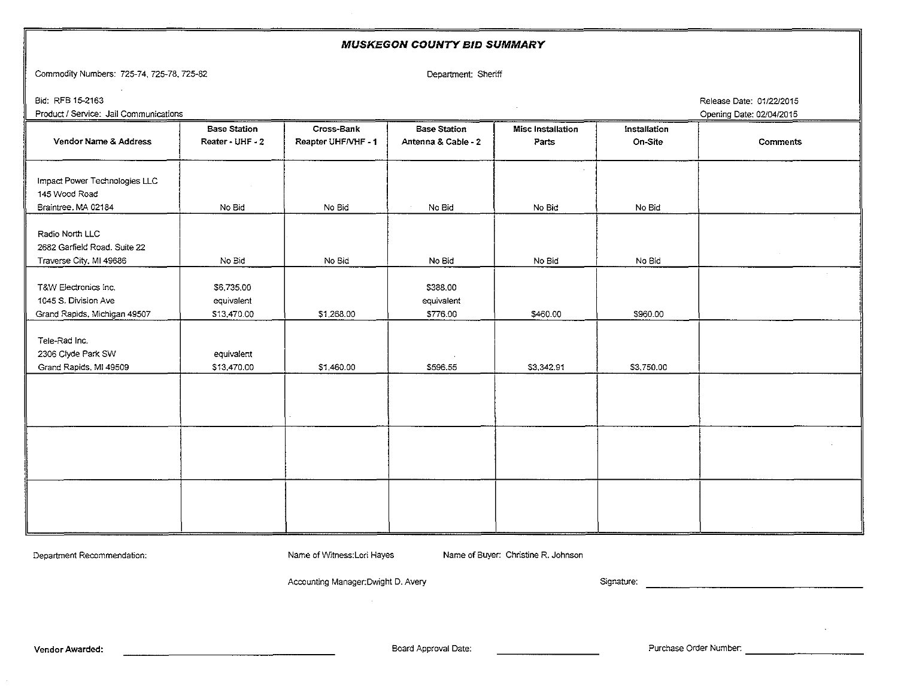## MUSKEGON COUNTY BID SUMMARY Commodity Numbers: 725-74, 725-78, 725-82 Department: Sheriff Bid: RFB 1\$-2163 Release Date: 01/22/2015 Product / Service: Jail Communications **Opening Date: 02/04/2015** Communications of the control of the control of the control of the control of the control of the control of the control of the control of the control of the **Base Station | Cross-Bank | Base Station | Misc Installation | Installation** Vendor Name & Address | Reater - UHF - 2 | Reapter UHF/VHF - 1 | Antenna & Cable - 2 | Parts | On-Site | Comments Impact Power Technologies LLC 145 Wood Road Braintree, MA 02184 { No Bid { No Bid { No Bid { No Bid { Radio North LLC 2682 Garfield Road. Suite 22 Traverse City, MI 49686  $\blacksquare$  No Bid No Bid No Bid No Bid No Bid No Bid No Bid No Bid T&W Electronics Inc. **\$288.00** \$6,735.00 **\$388.00** 1045 S. Division Ave **equivalent** equivalent equivalent equivalent equivalent Grand Rapids. Michigan 49507  $\vert$  \$13,470.00  $\vert$  \$1,268.00  $\vert$  \$776.00  $\vert$  \$960.00  $\vert$  \$960.00 Tele-Rad Inc. 2306 Clyde Park SW and Clear and Park SW equivalent Grand Rapids, MI 49509  $\vert$  \$13,470.00  $\vert$  \$1,460.00  $\vert$  \$596.55  $\vert$  \$3,342.91  $\vert$  \$3,750.00

Department Recommendation: Name of Witness: Lori Hayes Name of Buyer: Christine R. Johnson

Accounting Manager:Dwight D. Avery Signature: Signature: